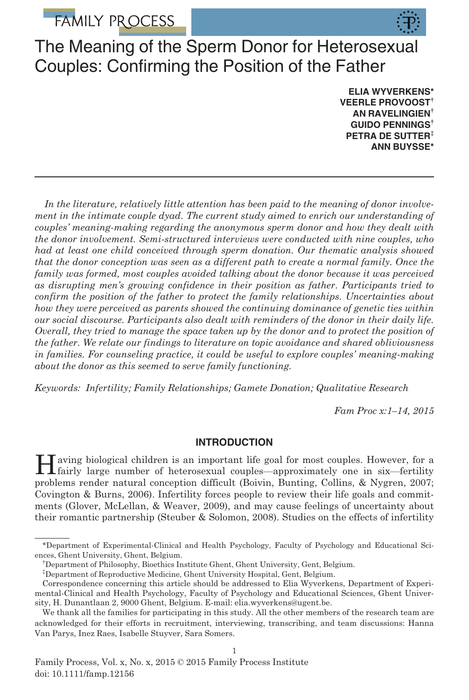

# The Meaning of the Sperm Donor for Heterosexual<br>Couples: Confirming the Position of the Father Couples: Confirming the Position of the Father

ELIA WYVERKENS\* VEERLE PROVOOST† AN RAVELINGIEN† GUIDO PENNINGS† PETRA DE SUTTER‡ ANN BUYSSE\*

In the literature, relatively little attention has been paid to the meaning of donor involvement in the intimate couple dyad. The current study aimed to enrich our understanding of couples' meaning-making regarding the anonymous sperm donor and how they dealt with the donor involvement. Semi-structured interviews were conducted with nine couples, who had at least one child conceived through sperm donation. Our thematic analysis showed that the donor conception was seen as a different path to create a normal family. Once the family was formed, most couples avoided talking about the donor because it was perceived as disrupting men's growing confidence in their position as father. Participants tried to confirm the position of the father to protect the family relationships. Uncertainties about how they were perceived as parents showed the continuing dominance of genetic ties within our social discourse. Participants also dealt with reminders of the donor in their daily life. Overall, they tried to manage the space taken up by the donor and to protect the position of the father. We relate our findings to literature on topic avoidance and shared obliviousness in families. For counseling practice, it could be useful to explore couples' meaning-making about the donor as this seemed to serve family functioning.

Keywords: Infertility; Family Relationships; Gamete Donation; Qualitative Research

Fam Proc x:1–14, 2015

#### INTRODUCTION

Having biological children is an important life goal for most couples. However, for a fairly large number of heterosexual couples—approximately one in six—fertility problems render natural conception difficult (Boivin, Bunting, Collins, & Nygren, 2007; Covington & Burns, 2006). Infertility forces people to review their life goals and commitments (Glover, McLellan, & Weaver, 2009), and may cause feelings of uncertainty about their romantic partnership (Steuber & Solomon, 2008). Studies on the effects of infertility

<sup>\*</sup>Department of Experimental-Clinical and Health Psychology, Faculty of Psychology and Educational Sciences, Ghent University, Ghent, Belgium.

<sup>†</sup> Department of Philosophy, Bioethics Institute Ghent, Ghent University, Gent, Belgium.

<sup>‡</sup> Department of Reproductive Medicine, Ghent University Hospital, Gent, Belgium.

Correspondence concerning this article should be addressed to Elia Wyverkens, Department of Experimental-Clinical and Health Psychology, Faculty of Psychology and Educational Sciences, Ghent University, H. Dunantlaan 2, 9000 Ghent, Belgium. E-mail: elia.wyverkens@ugent.be.

We thank all the families for participating in this study. All the other members of the research team are acknowledged for their efforts in recruitment, interviewing, transcribing, and team discussions: Hanna Van Parys, Inez Raes, Isabelle Stuyver, Sara Somers.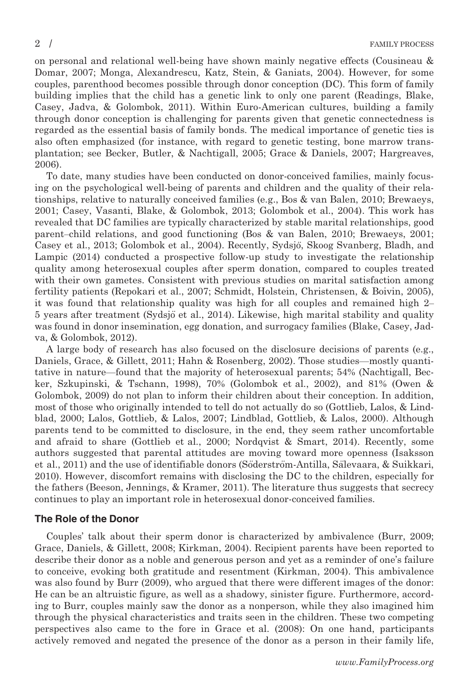on personal and relational well-being have shown mainly negative effects (Cousineau & Domar, 2007; Monga, Alexandrescu, Katz, Stein, & Ganiats, 2004). However, for some couples, parenthood becomes possible through donor conception (DC). This form of family building implies that the child has a genetic link to only one parent (Readings, Blake, Casey, Jadva, & Golombok, 2011). Within Euro-American cultures, building a family through donor conception is challenging for parents given that genetic connectedness is regarded as the essential basis of family bonds. The medical importance of genetic ties is also often emphasized (for instance, with regard to genetic testing, bone marrow transplantation; see Becker, Butler, & Nachtigall, 2005; Grace & Daniels, 2007; Hargreaves, 2006).

To date, many studies have been conducted on donor-conceived families, mainly focusing on the psychological well-being of parents and children and the quality of their relationships, relative to naturally conceived families (e.g., Bos & van Balen, 2010; Brewaeys, 2001; Casey, Vasanti, Blake, & Golombok, 2013; Golombok et al., 2004). This work has revealed that DC families are typically characterized by stable marital relationships, good parent–child relations, and good functioning (Bos & van Balen, 2010; Brewaeys, 2001; Casey et al., 2013; Golombok et al., 2004). Recently, Sydsjö, Skoog Svanberg, Bladh, and Lampic (2014) conducted a prospective follow-up study to investigate the relationship quality among heterosexual couples after sperm donation, compared to couples treated with their own gametes. Consistent with previous studies on marital satisfaction among fertility patients (Repokari et al., 2007; Schmidt, Holstein, Christensen, & Boivin, 2005), it was found that relationship quality was high for all couples and remained high 2– 5 years after treatment (Sydsjö et al., 2014). Likewise, high marital stability and quality was found in donor insemination, egg donation, and surrogacy families (Blake, Casey, Jadva, & Golombok, 2012).

A large body of research has also focused on the disclosure decisions of parents (e.g., Daniels, Grace, & Gillett, 2011; Hahn & Rosenberg, 2002). Those studies—mostly quantitative in nature—found that the majority of heterosexual parents; 54% (Nachtigall, Becker, Szkupinski, & Tschann, 1998), 70% (Golombok et al., 2002), and 81% (Owen & Golombok, 2009) do not plan to inform their children about their conception. In addition, most of those who originally intended to tell do not actually do so (Gottlieb, Lalos, & Lindblad, 2000; Lalos, Gottlieb, & Lalos, 2007; Lindblad, Gottlieb, & Lalos, 2000). Although parents tend to be committed to disclosure, in the end, they seem rather uncomfortable and afraid to share (Gottlieb et al., 2000; Nordqvist & Smart, 2014). Recently, some authors suggested that parental attitudes are moving toward more openness (Isaksson et al., 2011) and the use of identifiable donors (Söderström-Antilla, Sälevaara, & Suikkari, 2010). However, discomfort remains with disclosing the DC to the children, especially for the fathers (Beeson, Jennings, & Kramer, 2011). The literature thus suggests that secrecy continues to play an important role in heterosexual donor-conceived families.

#### The Role of the Donor

Couples' talk about their sperm donor is characterized by ambivalence (Burr, 2009; Grace, Daniels, & Gillett, 2008; Kirkman, 2004). Recipient parents have been reported to describe their donor as a noble and generous person and yet as a reminder of one's failure to conceive, evoking both gratitude and resentment (Kirkman, 2004). This ambivalence was also found by Burr (2009), who argued that there were different images of the donor: He can be an altruistic figure, as well as a shadowy, sinister figure. Furthermore, according to Burr, couples mainly saw the donor as a nonperson, while they also imagined him through the physical characteristics and traits seen in the children. These two competing perspectives also came to the fore in Grace et al. (2008): On one hand, participants actively removed and negated the presence of the donor as a person in their family life,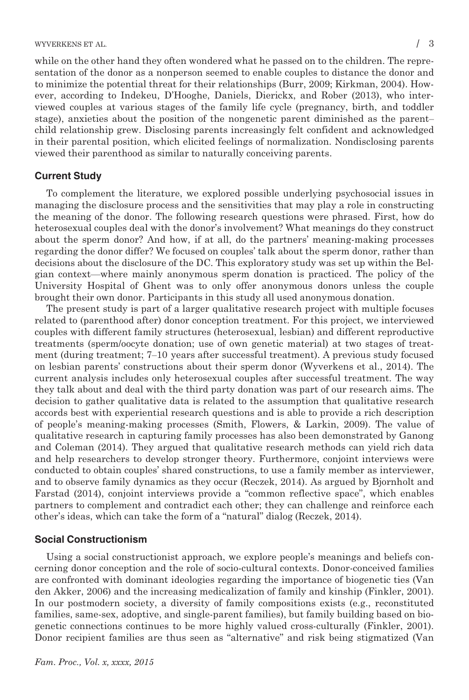while on the other hand they often wondered what he passed on to the children. The representation of the donor as a nonperson seemed to enable couples to distance the donor and to minimize the potential threat for their relationships (Burr, 2009; Kirkman, 2004). However, according to Indekeu, D'Hooghe, Daniels, Dierickx, and Rober (2013), who interviewed couples at various stages of the family life cycle (pregnancy, birth, and toddler stage), anxieties about the position of the nongenetic parent diminished as the parent– child relationship grew. Disclosing parents increasingly felt confident and acknowledged in their parental position, which elicited feelings of normalization. Nondisclosing parents viewed their parenthood as similar to naturally conceiving parents.

### Current Study

To complement the literature, we explored possible underlying psychosocial issues in managing the disclosure process and the sensitivities that may play a role in constructing the meaning of the donor. The following research questions were phrased. First, how do heterosexual couples deal with the donor's involvement? What meanings do they construct about the sperm donor? And how, if at all, do the partners' meaning-making processes regarding the donor differ? We focused on couples' talk about the sperm donor, rather than decisions about the disclosure of the DC. This exploratory study was set up within the Belgian context—where mainly anonymous sperm donation is practiced. The policy of the University Hospital of Ghent was to only offer anonymous donors unless the couple brought their own donor. Participants in this study all used anonymous donation.

The present study is part of a larger qualitative research project with multiple focuses related to (parenthood after) donor conception treatment. For this project, we interviewed couples with different family structures (heterosexual, lesbian) and different reproductive treatments (sperm/oocyte donation; use of own genetic material) at two stages of treatment (during treatment; 7–10 years after successful treatment). A previous study focused on lesbian parents' constructions about their sperm donor (Wyverkens et al., 2014). The current analysis includes only heterosexual couples after successful treatment. The way they talk about and deal with the third party donation was part of our research aims. The decision to gather qualitative data is related to the assumption that qualitative research accords best with experiential research questions and is able to provide a rich description of people's meaning-making processes (Smith, Flowers, & Larkin, 2009). The value of qualitative research in capturing family processes has also been demonstrated by Ganong and Coleman (2014). They argued that qualitative research methods can yield rich data and help researchers to develop stronger theory. Furthermore, conjoint interviews were conducted to obtain couples' shared constructions, to use a family member as interviewer, and to observe family dynamics as they occur (Reczek, 2014). As argued by Bjornholt and Farstad (2014), conjoint interviews provide a "common reflective space", which enables partners to complement and contradict each other; they can challenge and reinforce each other's ideas, which can take the form of a "natural" dialog (Reczek, 2014).

#### Social Constructionism

Using a social constructionist approach, we explore people's meanings and beliefs concerning donor conception and the role of socio-cultural contexts. Donor-conceived families are confronted with dominant ideologies regarding the importance of biogenetic ties (Van den Akker, 2006) and the increasing medicalization of family and kinship (Finkler, 2001). In our postmodern society, a diversity of family compositions exists (e.g., reconstituted families, same-sex, adoptive, and single-parent families), but family building based on biogenetic connections continues to be more highly valued cross-culturally (Finkler, 2001). Donor recipient families are thus seen as "alternative" and risk being stigmatized (Van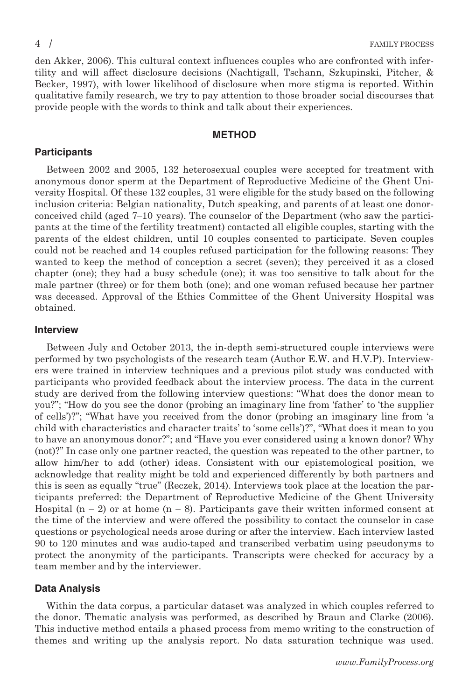den Akker, 2006). This cultural context influences couples who are confronted with infertility and will affect disclosure decisions (Nachtigall, Tschann, Szkupinski, Pitcher, & Becker, 1997), with lower likelihood of disclosure when more stigma is reported. Within qualitative family research, we try to pay attention to those broader social discourses that provide people with the words to think and talk about their experiences.

#### METHOD

#### **Participants**

Between 2002 and 2005, 132 heterosexual couples were accepted for treatment with anonymous donor sperm at the Department of Reproductive Medicine of the Ghent University Hospital. Of these 132 couples, 31 were eligible for the study based on the following inclusion criteria: Belgian nationality, Dutch speaking, and parents of at least one donorconceived child (aged 7–10 years). The counselor of the Department (who saw the participants at the time of the fertility treatment) contacted all eligible couples, starting with the parents of the eldest children, until 10 couples consented to participate. Seven couples could not be reached and 14 couples refused participation for the following reasons: They wanted to keep the method of conception a secret (seven); they perceived it as a closed chapter (one); they had a busy schedule (one); it was too sensitive to talk about for the male partner (three) or for them both (one); and one woman refused because her partner was deceased. Approval of the Ethics Committee of the Ghent University Hospital was obtained.

#### Interview

Between July and October 2013, the in-depth semi-structured couple interviews were performed by two psychologists of the research team (Author E.W. and H.V.P). Interviewers were trained in interview techniques and a previous pilot study was conducted with participants who provided feedback about the interview process. The data in the current study are derived from the following interview questions: "What does the donor mean to you?"; "How do you see the donor (probing an imaginary line from 'father' to 'the supplier of cells')?"; "What have you received from the donor (probing an imaginary line from 'a child with characteristics and character traits' to 'some cells')?", "What does it mean to you to have an anonymous donor?"; and "Have you ever considered using a known donor? Why (not)?" In case only one partner reacted, the question was repeated to the other partner, to allow him/her to add (other) ideas. Consistent with our epistemological position, we acknowledge that reality might be told and experienced differently by both partners and this is seen as equally "true" (Reczek, 2014). Interviews took place at the location the participants preferred: the Department of Reproductive Medicine of the Ghent University Hospital ( $n = 2$ ) or at home ( $n = 8$ ). Participants gave their written informed consent at the time of the interview and were offered the possibility to contact the counselor in case questions or psychological needs arose during or after the interview. Each interview lasted 90 to 120 minutes and was audio-taped and transcribed verbatim using pseudonyms to protect the anonymity of the participants. Transcripts were checked for accuracy by a team member and by the interviewer.

#### Data Analysis

Within the data corpus, a particular dataset was analyzed in which couples referred to the donor. Thematic analysis was performed, as described by Braun and Clarke (2006). This inductive method entails a phased process from memo writing to the construction of themes and writing up the analysis report. No data saturation technique was used.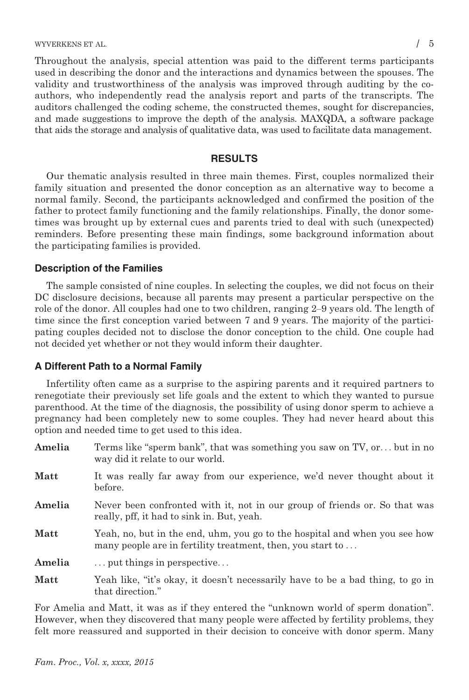Throughout the analysis, special attention was paid to the different terms participants used in describing the donor and the interactions and dynamics between the spouses. The validity and trustworthiness of the analysis was improved through auditing by the coauthors, who independently read the analysis report and parts of the transcripts. The auditors challenged the coding scheme, the constructed themes, sought for discrepancies, and made suggestions to improve the depth of the analysis. MAXQDA, a software package that aids the storage and analysis of qualitative data, was used to facilitate data management.

#### RESULTS

Our thematic analysis resulted in three main themes. First, couples normalized their family situation and presented the donor conception as an alternative way to become a normal family. Second, the participants acknowledged and confirmed the position of the father to protect family functioning and the family relationships. Finally, the donor sometimes was brought up by external cues and parents tried to deal with such (unexpected) reminders. Before presenting these main findings, some background information about the participating families is provided.

#### Description of the Families

The sample consisted of nine couples. In selecting the couples, we did not focus on their DC disclosure decisions, because all parents may present a particular perspective on the role of the donor. All couples had one to two children, ranging 2–9 years old. The length of time since the first conception varied between 7 and 9 years. The majority of the participating couples decided not to disclose the donor conception to the child. One couple had not decided yet whether or not they would inform their daughter.

#### A Different Path to a Normal Family

Infertility often came as a surprise to the aspiring parents and it required partners to renegotiate their previously set life goals and the extent to which they wanted to pursue parenthood. At the time of the diagnosis, the possibility of using donor sperm to achieve a pregnancy had been completely new to some couples. They had never heard about this option and needed time to get used to this idea.

- Amelia Terms like "sperm bank", that was something you saw on TV, or... but in no way did it relate to our world.
- Matt It was really far away from our experience, we'd never thought about it before.
- Amelia Never been confronted with it, not in our group of friends or. So that was really, pff, it had to sink in. But, yeah.
- Matt Yeah, no, but in the end, uhm, you go to the hospital and when you see how many people are in fertility treatment, then, you start to ...
- Amelia ... put things in perspective...
- Matt Yeah like, "it's okay, it doesn't necessarily have to be a bad thing, to go in that direction."

For Amelia and Matt, it was as if they entered the "unknown world of sperm donation". However, when they discovered that many people were affected by fertility problems, they felt more reassured and supported in their decision to conceive with donor sperm. Many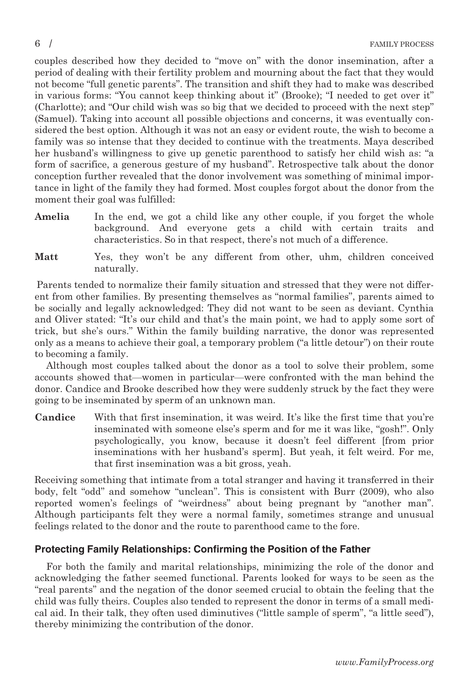couples described how they decided to "move on" with the donor insemination, after a period of dealing with their fertility problem and mourning about the fact that they would not become "full genetic parents". The transition and shift they had to make was described in various forms: "You cannot keep thinking about it" (Brooke); "I needed to get over it" (Charlotte); and "Our child wish was so big that we decided to proceed with the next step" (Samuel). Taking into account all possible objections and concerns, it was eventually considered the best option. Although it was not an easy or evident route, the wish to become a family was so intense that they decided to continue with the treatments. Maya described her husband's willingness to give up genetic parenthood to satisfy her child wish as: "a form of sacrifice, a generous gesture of my husband". Retrospective talk about the donor conception further revealed that the donor involvement was something of minimal importance in light of the family they had formed. Most couples forgot about the donor from the moment their goal was fulfilled:

- Amelia In the end, we got a child like any other couple, if you forget the whole background. And everyone gets a child with certain traits and characteristics. So in that respect, there's not much of a difference.
- Matt Yes, they won't be any different from other, uhm, children conceived naturally.

Parents tended to normalize their family situation and stressed that they were not different from other families. By presenting themselves as "normal families", parents aimed to be socially and legally acknowledged: They did not want to be seen as deviant. Cynthia and Oliver stated: "It's our child and that's the main point, we had to apply some sort of trick, but she's ours." Within the family building narrative, the donor was represented only as a means to achieve their goal, a temporary problem ("a little detour") on their route to becoming a family.

Although most couples talked about the donor as a tool to solve their problem, some accounts showed that—women in particular—were confronted with the man behind the donor. Candice and Brooke described how they were suddenly struck by the fact they were going to be inseminated by sperm of an unknown man.

Candice With that first insemination, it was weird. It's like the first time that you're inseminated with someone else's sperm and for me it was like, "gosh!". Only psychologically, you know, because it doesn't feel different [from prior inseminations with her husband's sperm]. But yeah, it felt weird. For me, that first insemination was a bit gross, yeah.

Receiving something that intimate from a total stranger and having it transferred in their body, felt "odd" and somehow "unclean". This is consistent with Burr (2009), who also reported women's feelings of "weirdness" about being pregnant by "another man". Although participants felt they were a normal family, sometimes strange and unusual feelings related to the donor and the route to parenthood came to the fore.

# Protecting Family Relationships: Confirming the Position of the Father

For both the family and marital relationships, minimizing the role of the donor and acknowledging the father seemed functional. Parents looked for ways to be seen as the "real parents" and the negation of the donor seemed crucial to obtain the feeling that the child was fully theirs. Couples also tended to represent the donor in terms of a small medical aid. In their talk, they often used diminutives ("little sample of sperm", "a little seed"), thereby minimizing the contribution of the donor.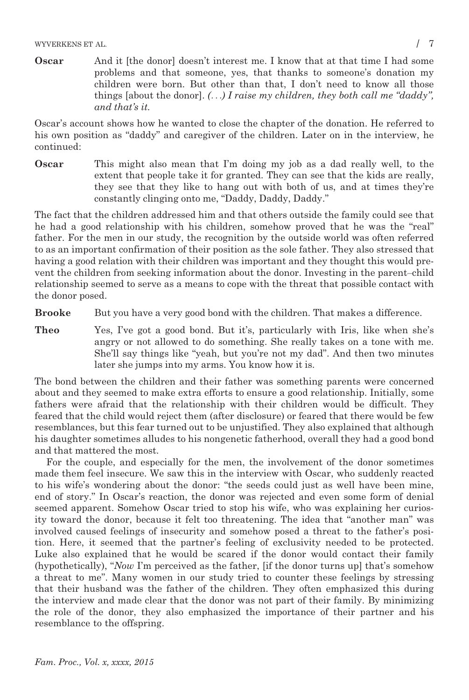#### WYVERKENS ET AL.  $/ 7$

Oscar And it [the donor] doesn't interest me. I know that at that time I had some problems and that someone, yes, that thanks to someone's donation my children were born. But other than that, I don't need to know all those things [about the donor].  $(...)$  I raise my children, they both call me "daddy", and that's it.

Oscar's account shows how he wanted to close the chapter of the donation. He referred to his own position as "daddy" and caregiver of the children. Later on in the interview, he continued:

Oscar This might also mean that I'm doing my job as a dad really well, to the extent that people take it for granted. They can see that the kids are really, they see that they like to hang out with both of us, and at times they're constantly clinging onto me, "Daddy, Daddy, Daddy."

The fact that the children addressed him and that others outside the family could see that he had a good relationship with his children, somehow proved that he was the "real" father. For the men in our study, the recognition by the outside world was often referred to as an important confirmation of their position as the sole father. They also stressed that having a good relation with their children was important and they thought this would prevent the children from seeking information about the donor. Investing in the parent–child relationship seemed to serve as a means to cope with the threat that possible contact with the donor posed.

Brooke But you have a very good bond with the children. That makes a difference.

Theo Yes, I've got a good bond. But it's, particularly with Iris, like when she's angry or not allowed to do something. She really takes on a tone with me. She'll say things like "yeah, but you're not my dad". And then two minutes later she jumps into my arms. You know how it is.

The bond between the children and their father was something parents were concerned about and they seemed to make extra efforts to ensure a good relationship. Initially, some fathers were afraid that the relationship with their children would be difficult. They feared that the child would reject them (after disclosure) or feared that there would be few resemblances, but this fear turned out to be unjustified. They also explained that although his daughter sometimes alludes to his nongenetic fatherhood, overall they had a good bond and that mattered the most.

For the couple, and especially for the men, the involvement of the donor sometimes made them feel insecure. We saw this in the interview with Oscar, who suddenly reacted to his wife's wondering about the donor: "the seeds could just as well have been mine, end of story." In Oscar's reaction, the donor was rejected and even some form of denial seemed apparent. Somehow Oscar tried to stop his wife, who was explaining her curiosity toward the donor, because it felt too threatening. The idea that "another man" was involved caused feelings of insecurity and somehow posed a threat to the father's position. Here, it seemed that the partner's feeling of exclusivity needed to be protected. Luke also explained that he would be scared if the donor would contact their family (hypothetically), "Now I'm perceived as the father, [if the donor turns up] that's somehow a threat to me". Many women in our study tried to counter these feelings by stressing that their husband was the father of the children. They often emphasized this during the interview and made clear that the donor was not part of their family. By minimizing the role of the donor, they also emphasized the importance of their partner and his resemblance to the offspring.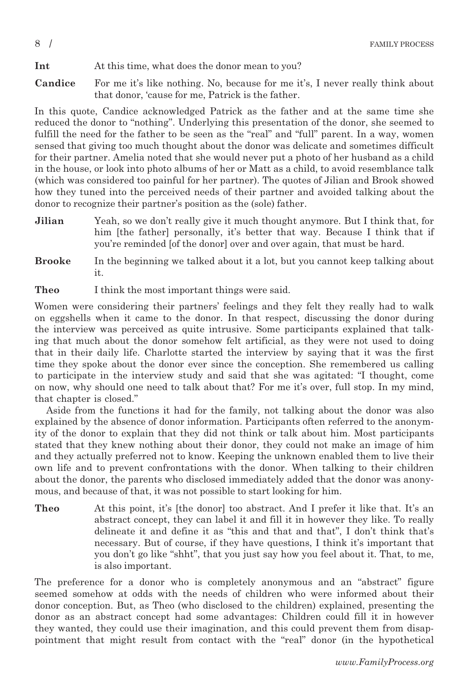8 / FAMILY PROCESS

## Int At this time, what does the donor mean to you?

Candice For me it's like nothing. No, because for me it's, I never really think about that donor, 'cause for me, Patrick is the father.

In this quote, Candice acknowledged Patrick as the father and at the same time she reduced the donor to "nothing". Underlying this presentation of the donor, she seemed to fulfill the need for the father to be seen as the "real" and "full" parent. In a way, women sensed that giving too much thought about the donor was delicate and sometimes difficult for their partner. Amelia noted that she would never put a photo of her husband as a child in the house, or look into photo albums of her or Matt as a child, to avoid resemblance talk (which was considered too painful for her partner). The quotes of Jilian and Brook showed how they tuned into the perceived needs of their partner and avoided talking about the donor to recognize their partner's position as the (sole) father.

- Jilian Yeah, so we don't really give it much thought anymore. But I think that, for him [the father] personally, it's better that way. Because I think that if you're reminded [of the donor] over and over again, that must be hard.
- Brooke In the beginning we talked about it a lot, but you cannot keep talking about it.
- Theo I think the most important things were said.

Women were considering their partners' feelings and they felt they really had to walk on eggshells when it came to the donor. In that respect, discussing the donor during the interview was perceived as quite intrusive. Some participants explained that talking that much about the donor somehow felt artificial, as they were not used to doing that in their daily life. Charlotte started the interview by saying that it was the first time they spoke about the donor ever since the conception. She remembered us calling to participate in the interview study and said that she was agitated: "I thought, come on now, why should one need to talk about that? For me it's over, full stop. In my mind, that chapter is closed."

Aside from the functions it had for the family, not talking about the donor was also explained by the absence of donor information. Participants often referred to the anonymity of the donor to explain that they did not think or talk about him. Most participants stated that they knew nothing about their donor, they could not make an image of him and they actually preferred not to know. Keeping the unknown enabled them to live their own life and to prevent confrontations with the donor. When talking to their children about the donor, the parents who disclosed immediately added that the donor was anonymous, and because of that, it was not possible to start looking for him.

Theo At this point, it's [the donor] too abstract. And I prefer it like that. It's an abstract concept, they can label it and fill it in however they like. To really delineate it and define it as "this and that and that", I don't think that's necessary. But of course, if they have questions, I think it's important that you don't go like "shht", that you just say how you feel about it. That, to me, is also important.

The preference for a donor who is completely anonymous and an "abstract" figure seemed somehow at odds with the needs of children who were informed about their donor conception. But, as Theo (who disclosed to the children) explained, presenting the donor as an abstract concept had some advantages: Children could fill it in however they wanted, they could use their imagination, and this could prevent them from disappointment that might result from contact with the "real" donor (in the hypothetical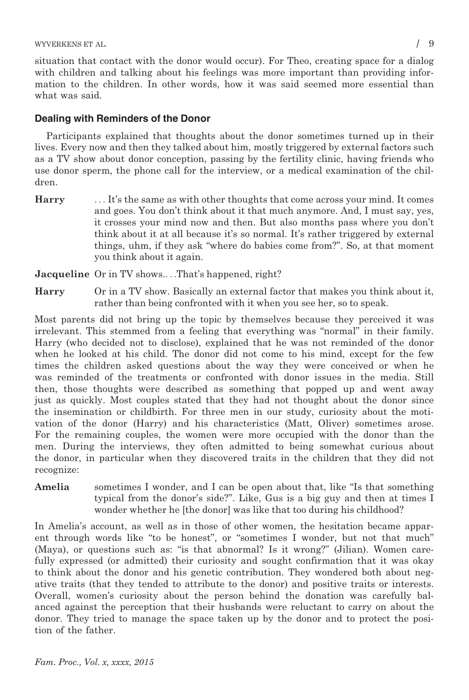WYVERKENS ET AL.  $/ 9$ 

situation that contact with the donor would occur). For Theo, creating space for a dialog with children and talking about his feelings was more important than providing information to the children. In other words, how it was said seemed more essential than what was said.

# Dealing with Reminders of the Donor

Participants explained that thoughts about the donor sometimes turned up in their lives. Every now and then they talked about him, mostly triggered by external factors such as a TV show about donor conception, passing by the fertility clinic, having friends who use donor sperm, the phone call for the interview, or a medical examination of the children.

Harry ... It's the same as with other thoughts that come across your mind. It comes and goes. You don't think about it that much anymore. And, I must say, yes, it crosses your mind now and then. But also months pass where you don't think about it at all because it's so normal. It's rather triggered by external things, uhm, if they ask "where do babies come from?". So, at that moment you think about it again.

Jacqueline Or in TV shows....That's happened, right?

Harry Or in a TV show. Basically an external factor that makes you think about it, rather than being confronted with it when you see her, so to speak.

Most parents did not bring up the topic by themselves because they perceived it was irrelevant. This stemmed from a feeling that everything was "normal" in their family. Harry (who decided not to disclose), explained that he was not reminded of the donor when he looked at his child. The donor did not come to his mind, except for the few times the children asked questions about the way they were conceived or when he was reminded of the treatments or confronted with donor issues in the media. Still then, those thoughts were described as something that popped up and went away just as quickly. Most couples stated that they had not thought about the donor since the insemination or childbirth. For three men in our study, curiosity about the motivation of the donor (Harry) and his characteristics (Matt, Oliver) sometimes arose. For the remaining couples, the women were more occupied with the donor than the men. During the interviews, they often admitted to being somewhat curious about the donor, in particular when they discovered traits in the children that they did not recognize:

Amelia sometimes I wonder, and I can be open about that, like "Is that something typical from the donor's side?". Like, Gus is a big guy and then at times I wonder whether he [the donor] was like that too during his childhood?

In Amelia's account, as well as in those of other women, the hesitation became apparent through words like "to be honest", or "sometimes I wonder, but not that much" (Maya), or questions such as: "is that abnormal? Is it wrong?" (Jilian). Women carefully expressed (or admitted) their curiosity and sought confirmation that it was okay to think about the donor and his genetic contribution. They wondered both about negative traits (that they tended to attribute to the donor) and positive traits or interests. Overall, women's curiosity about the person behind the donation was carefully balanced against the perception that their husbands were reluctant to carry on about the donor. They tried to manage the space taken up by the donor and to protect the position of the father.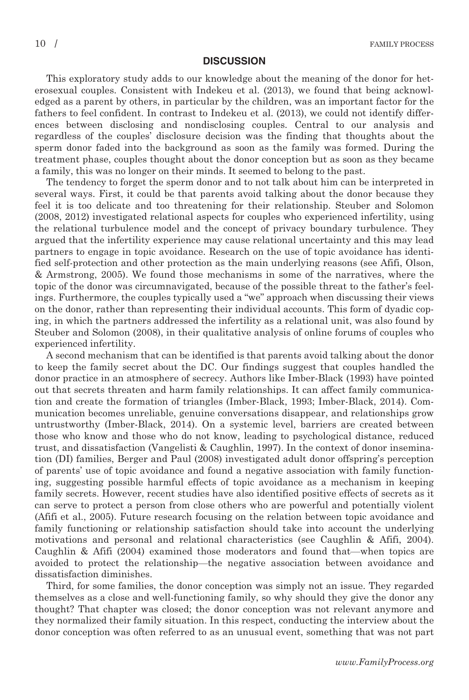#### **DISCUSSION**

This exploratory study adds to our knowledge about the meaning of the donor for heterosexual couples. Consistent with Indekeu et al. (2013), we found that being acknowledged as a parent by others, in particular by the children, was an important factor for the fathers to feel confident. In contrast to Indekeu et al. (2013), we could not identify differences between disclosing and nondisclosing couples. Central to our analysis and regardless of the couples' disclosure decision was the finding that thoughts about the sperm donor faded into the background as soon as the family was formed. During the treatment phase, couples thought about the donor conception but as soon as they became a family, this was no longer on their minds. It seemed to belong to the past.

The tendency to forget the sperm donor and to not talk about him can be interpreted in several ways. First, it could be that parents avoid talking about the donor because they feel it is too delicate and too threatening for their relationship. Steuber and Solomon (2008, 2012) investigated relational aspects for couples who experienced infertility, using the relational turbulence model and the concept of privacy boundary turbulence. They argued that the infertility experience may cause relational uncertainty and this may lead partners to engage in topic avoidance. Research on the use of topic avoidance has identified self-protection and other protection as the main underlying reasons (see Afifi, Olson, & Armstrong, 2005). We found those mechanisms in some of the narratives, where the topic of the donor was circumnavigated, because of the possible threat to the father's feelings. Furthermore, the couples typically used a "we" approach when discussing their views on the donor, rather than representing their individual accounts. This form of dyadic coping, in which the partners addressed the infertility as a relational unit, was also found by Steuber and Solomon (2008), in their qualitative analysis of online forums of couples who experienced infertility.

A second mechanism that can be identified is that parents avoid talking about the donor to keep the family secret about the DC. Our findings suggest that couples handled the donor practice in an atmosphere of secrecy. Authors like Imber-Black (1993) have pointed out that secrets threaten and harm family relationships. It can affect family communication and create the formation of triangles (Imber-Black, 1993; Imber-Black, 2014). Communication becomes unreliable, genuine conversations disappear, and relationships grow untrustworthy (Imber-Black, 2014). On a systemic level, barriers are created between those who know and those who do not know, leading to psychological distance, reduced trust, and dissatisfaction (Vangelisti & Caughlin, 1997). In the context of donor insemination (DI) families, Berger and Paul (2008) investigated adult donor offspring's perception of parents' use of topic avoidance and found a negative association with family functioning, suggesting possible harmful effects of topic avoidance as a mechanism in keeping family secrets. However, recent studies have also identified positive effects of secrets as it can serve to protect a person from close others who are powerful and potentially violent (Afifi et al., 2005). Future research focusing on the relation between topic avoidance and family functioning or relationship satisfaction should take into account the underlying motivations and personal and relational characteristics (see Caughlin & Afifi, 2004). Caughlin & Afifi (2004) examined those moderators and found that—when topics are avoided to protect the relationship—the negative association between avoidance and dissatisfaction diminishes.

Third, for some families, the donor conception was simply not an issue. They regarded themselves as a close and well-functioning family, so why should they give the donor any thought? That chapter was closed; the donor conception was not relevant anymore and they normalized their family situation. In this respect, conducting the interview about the donor conception was often referred to as an unusual event, something that was not part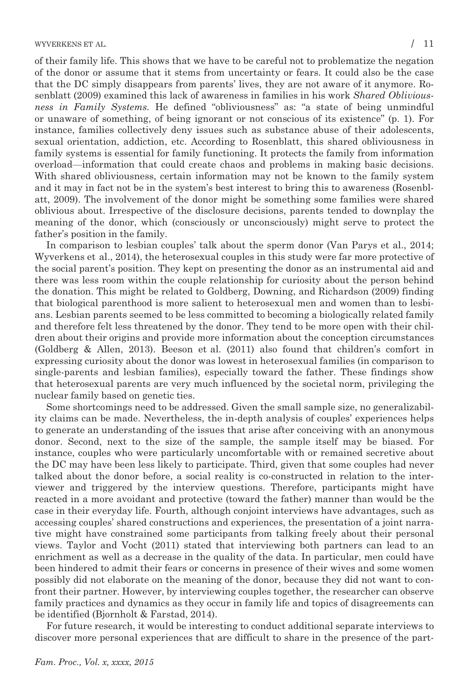of their family life. This shows that we have to be careful not to problematize the negation of the donor or assume that it stems from uncertainty or fears. It could also be the case that the DC simply disappears from parents' lives, they are not aware of it anymore. Rosenblatt (2009) examined this lack of awareness in families in his work Shared Obliviousness in Family Systems. He defined "obliviousness" as: "a state of being unmindful or unaware of something, of being ignorant or not conscious of its existence" (p. 1). For instance, families collectively deny issues such as substance abuse of their adolescents, sexual orientation, addiction, etc. According to Rosenblatt, this shared obliviousness in family systems is essential for family functioning. It protects the family from information overload—information that could create chaos and problems in making basic decisions. With shared obliviousness, certain information may not be known to the family system and it may in fact not be in the system's best interest to bring this to awareness (Rosenblatt, 2009). The involvement of the donor might be something some families were shared oblivious about. Irrespective of the disclosure decisions, parents tended to downplay the meaning of the donor, which (consciously or unconsciously) might serve to protect the father's position in the family.

In comparison to lesbian couples' talk about the sperm donor (Van Parys et al., 2014; Wyverkens et al., 2014), the heterosexual couples in this study were far more protective of the social parent's position. They kept on presenting the donor as an instrumental aid and there was less room within the couple relationship for curiosity about the person behind the donation. This might be related to Goldberg, Downing, and Richardson (2009) finding that biological parenthood is more salient to heterosexual men and women than to lesbians. Lesbian parents seemed to be less committed to becoming a biologically related family and therefore felt less threatened by the donor. They tend to be more open with their children about their origins and provide more information about the conception circumstances (Goldberg & Allen, 2013). Beeson et al. (2011) also found that children's comfort in expressing curiosity about the donor was lowest in heterosexual families (in comparison to single-parents and lesbian families), especially toward the father. These findings show that heterosexual parents are very much influenced by the societal norm, privileging the nuclear family based on genetic ties.

Some shortcomings need to be addressed. Given the small sample size, no generalizability claims can be made. Nevertheless, the in-depth analysis of couples' experiences helps to generate an understanding of the issues that arise after conceiving with an anonymous donor. Second, next to the size of the sample, the sample itself may be biased. For instance, couples who were particularly uncomfortable with or remained secretive about the DC may have been less likely to participate. Third, given that some couples had never talked about the donor before, a social reality is co-constructed in relation to the interviewer and triggered by the interview questions. Therefore, participants might have reacted in a more avoidant and protective (toward the father) manner than would be the case in their everyday life. Fourth, although conjoint interviews have advantages, such as accessing couples' shared constructions and experiences, the presentation of a joint narrative might have constrained some participants from talking freely about their personal views. Taylor and Vocht (2011) stated that interviewing both partners can lead to an enrichment as well as a decrease in the quality of the data. In particular, men could have been hindered to admit their fears or concerns in presence of their wives and some women possibly did not elaborate on the meaning of the donor, because they did not want to confront their partner. However, by interviewing couples together, the researcher can observe family practices and dynamics as they occur in family life and topics of disagreements can be identified (Bjornholt & Farstad, 2014).

For future research, it would be interesting to conduct additional separate interviews to discover more personal experiences that are difficult to share in the presence of the part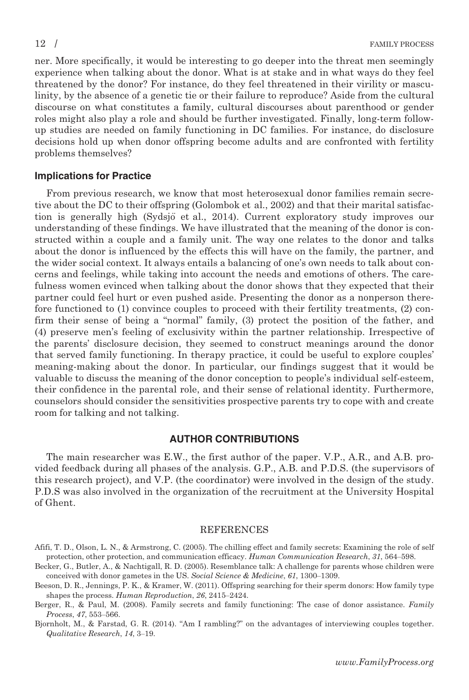ner. More specifically, it would be interesting to go deeper into the threat men seemingly experience when talking about the donor. What is at stake and in what ways do they feel threatened by the donor? For instance, do they feel threatened in their virility or masculinity, by the absence of a genetic tie or their failure to reproduce? Aside from the cultural discourse on what constitutes a family, cultural discourses about parenthood or gender roles might also play a role and should be further investigated. Finally, long-term followup studies are needed on family functioning in DC families. For instance, do disclosure decisions hold up when donor offspring become adults and are confronted with fertility problems themselves?

#### Implications for Practice

From previous research, we know that most heterosexual donor families remain secretive about the DC to their offspring (Golombok et al., 2002) and that their marital satisfaction is generally high (Sydsjö et al., 2014). Current exploratory study improves our understanding of these findings. We have illustrated that the meaning of the donor is constructed within a couple and a family unit. The way one relates to the donor and talks about the donor is influenced by the effects this will have on the family, the partner, and the wider social context. It always entails a balancing of one's own needs to talk about concerns and feelings, while taking into account the needs and emotions of others. The carefulness women evinced when talking about the donor shows that they expected that their partner could feel hurt or even pushed aside. Presenting the donor as a nonperson therefore functioned to (1) convince couples to proceed with their fertility treatments, (2) confirm their sense of being a "normal" family, (3) protect the position of the father, and (4) preserve men's feeling of exclusivity within the partner relationship. Irrespective of the parents' disclosure decision, they seemed to construct meanings around the donor that served family functioning. In therapy practice, it could be useful to explore couples' meaning-making about the donor. In particular, our findings suggest that it would be valuable to discuss the meaning of the donor conception to people's individual self-esteem, their confidence in the parental role, and their sense of relational identity. Furthermore, counselors should consider the sensitivities prospective parents try to cope with and create room for talking and not talking.

#### AUTHOR CONTRIBUTIONS

The main researcher was E.W., the first author of the paper. V.P., A.R., and A.B. provided feedback during all phases of the analysis. G.P., A.B. and P.D.S. (the supervisors of this research project), and V.P. (the coordinator) were involved in the design of the study. P.D.S was also involved in the organization of the recruitment at the University Hospital of Ghent.

#### **REFERENCES**

Afifi, T. D., Olson, L. N., & Armstrong, C. (2005). The chilling effect and family secrets: Examining the role of self protection, other protection, and communication efficacy. Human Communication Research, 31, 564–598.

Becker, G., Butler, A., & Nachtigall, R. D. (2005). Resemblance talk: A challenge for parents whose children were conceived with donor gametes in the US. Social Science & Medicine, 61, 1300–1309.

- Beeson, D. R., Jennings, P. K., & Kramer, W. (2011). Offspring searching for their sperm donors: How family type shapes the process. Human Reproduction, 26, 2415–2424.
- Berger, R., & Paul, M. (2008). Family secrets and family functioning: The case of donor assistance. Family Process, 47, 553–566.

Bjornholt, M., & Farstad, G. R. (2014). "Am I rambling?" on the advantages of interviewing couples together. Qualitative Research, 14, 3–19.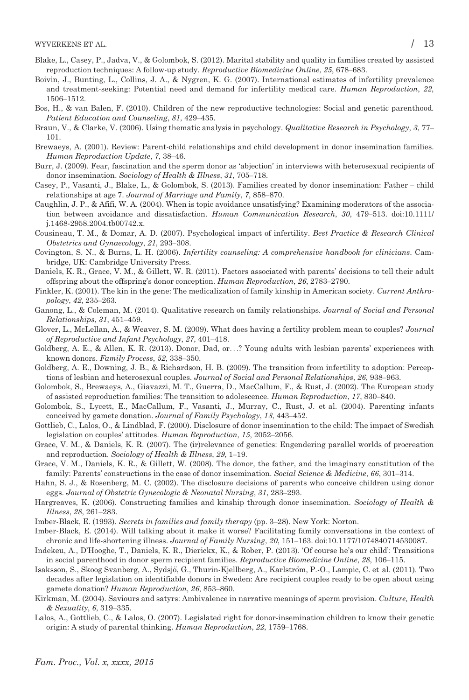- Blake, L., Casey, P., Jadva, V., & Golombok, S. (2012). Marital stability and quality in families created by assisted reproduction techniques: A follow-up study. Reproductive Biomedicine Online, 25, 678–683.
- Boivin, J., Bunting, L., Collins, J. A., & Nygren, K. G. (2007). International estimates of infertility prevalence and treatment-seeking: Potential need and demand for infertility medical care. Human Reproduction, 22, 1506–1512.
- Bos, H., & van Balen, F. (2010). Children of the new reproductive technologies: Social and genetic parenthood. Patient Education and Counseling, 81, 429–435.
- Braun, V., & Clarke, V. (2006). Using thematic analysis in psychology. Qualitative Research in Psychology, 3, 77– 101.
- Brewaeys, A. (2001). Review: Parent-child relationships and child development in donor insemination families. Human Reproduction Update, 7, 38–46.
- Burr, J. (2009). Fear, fascination and the sperm donor as 'abjection' in interviews with heterosexual recipients of donor insemination. Sociology of Health & Illness, 31, 705–718.
- Casey, P., Vasanti, J., Blake, L., & Golombok, S. (2013). Families created by donor insemination: Father child relationships at age 7. Journal of Marriage and Family, 7, 858–870.
- Caughlin, J. P., & Afifi, W. A. (2004). When is topic avoidance unsatisfying? Examining moderators of the associa-tion between avoidance and dissatisfaction. Human Communication Research, 30, 479–513. doi[:10.1111/](http://dx.doi.org/10.1111/j.1468-2958.2004.tb00742.x) [j.1468-2958.2004.tb00742.x](http://dx.doi.org/10.1111/j.1468-2958.2004.tb00742.x).
- Cousineau, T. M., & Domar, A. D. (2007). Psychological impact of infertility. Best Practice & Research Clinical Obstetrics and Gynaecology, 21, 293–308.
- Covington, S. N., & Burns, L. H. (2006). Infertility counseling: A comprehensive handbook for clinicians. Cambridge, UK: Cambridge University Press.
- Daniels, K. R., Grace, V. M., & Gillett, W. R. (2011). Factors associated with parents' decisions to tell their adult offspring about the offspring's donor conception. Human Reproduction, 26, 2783–2790.
- Finkler, K. (2001). The kin in the gene: The medicalization of family kinship in American society. Current Anthropology, 42, 235–263.
- Ganong, L., & Coleman, M. (2014). Qualitative research on family relationships. Journal of Social and Personal Relationships, 31, 451–459.
- Glover, L., McLellan, A., & Weaver, S. M. (2009). What does having a fertility problem mean to couples? Journal of Reproductive and Infant Psychology, 27, 401–418.
- Goldberg, A. E., & Allen, K. R. (2013). Donor, Dad, or...? Young adults with lesbian parents' experiences with known donors. Family Process, 52, 338–350.
- Goldberg, A. E., Downing, J. B., & Richardson, H. B. (2009). The transition from infertility to adoption: Perceptions of lesbian and heterosexual couples. Journal of Social and Personal Relationships, 26, 938–963.
- Golombok, S., Brewaeys, A., Giavazzi, M. T., Guerra, D., MacCallum, F., & Rust, J. (2002). The European study of assisted reproduction families: The transition to adolescence. Human Reproduction, 17, 830–840.
- Golombok, S., Lycett, E., MacCallum, F., Vasanti, J., Murray, C., Rust, J. et al. (2004). Parenting infants conceived by gamete donation. Journal of Family Psychology, 18, 443–452.
- Gottlieb, C., Lalos, O., & Lindblad, F. (2000). Disclosure of donor insemination to the child: The impact of Swedish legislation on couples' attitudes. Human Reproduction, 15, 2052–2056.
- Grace, V. M., & Daniels, K. R. (2007). The (ir)relevance of genetics: Engendering parallel worlds of procreation and reproduction. Sociology of Health & Illness, 29, 1–19.
- Grace, V. M., Daniels, K. R., & Gillett, W. (2008). The donor, the father, and the imaginary constitution of the family: Parents' constructions in the case of donor insemination. Social Science & Medicine, 66, 301–314.
- Hahn, S. J., & Rosenberg, M. C. (2002). The disclosure decisions of parents who conceive children using donor eggs. Journal of Obstetric Gynecologic & Neonatal Nursing, 31, 283–293.
- Hargreaves, K. (2006). Constructing families and kinship through donor insemination. Sociology of Health & Illness, 28, 261–283.
- Imber-Black, E. (1993). Secrets in families and family therapy (pp. 3–28). New York: Norton.
- Imber-Black, E. (2014). Will talking about it make it worse? Facilitating family conversations in the context of chronic and life-shortening illness. Journal of Family Nursing, 20, 151-163. doi:[10.1177/1074840714530087.](http://dx.doi.org/10.1177/1074840714530087)
- Indekeu, A., D'Hooghe, T., Daniels, K. R., Dierickx, K., & Rober, P. (2013). 'Of course he's our child': Transitions in social parenthood in donor sperm recipient families. Reproductive Biomedicine Online, 28, 106–115.
- Isaksson, S., Skoog Svanberg, A., Sydsjö, G., Thurin-Kjellberg, A., Karlström, P.-O., Lampic, C. et al. (2011). Two decades after legislation on identifiable donors in Sweden: Are recipient couples ready to be open about using gamete donation? Human Reproduction, 26, 853–860.
- Kirkman, M. (2004). Saviours and satyrs: Ambivalence in narrative meanings of sperm provision. Culture, Health & Sexuality, 6, 319–335.
- Lalos, A., Gottlieb, C., & Lalos, O. (2007). Legislated right for donor-insemination children to know their genetic origin: A study of parental thinking. Human Reproduction, 22, 1759–1768.